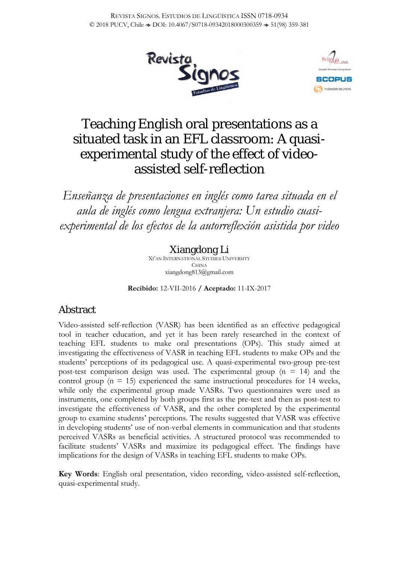



# Teaching English oral presentations as a situated task in an EFL classroom: A quasiexperimental study of the effect of videoassisted self-reflection

*Enseñanza de presentaciones en inglés como tarea situada en el aula de inglés como lengua extranjera: Un estudio cuasiexperimental de los efectos de la autorreflexión asistida por video*

## Xiangdong Li

XI'AN INTERNATIONAL STUDIES UNIVERSITY CHINA [xiangdong813@gmail.com](mailto:spanish.unc@gmail.com)

**Recibido:** 12-VII-2016 **/ Aceptado:** 11-IX-2017

## Abstract

Video-assisted self-reflection (VASR) has been identified as an effective pedagogical tool in teacher education, and yet it has been rarely researched in the context of teaching EFL students to make oral presentations (OPs). This study aimed at investigating the effectiveness of VASR in teaching EFL students to make OPs and the students' perceptions of its pedagogical use. A quasi-experimental two-group pre-test post-test comparison design was used. The experimental group  $(n = 14)$  and the control group ( $n = 15$ ) experienced the same instructional procedures for 14 weeks, while only the experimental group made VASRs. Two questionnaires were used as instruments, one completed by both groups first as the pre-test and then as post-test to investigate the effectiveness of VASR, and the other completed by the experimental group to examine students' perceptions. The results suggested that VASR was effective in developing students' use of non-verbal elements in communication and that students perceived VASRs as beneficial activities. A structured protocol was recommended to facilitate students' VASRs and maximize its pedagogical effect. The findings have implications for the design of VASRs in teaching EFL students to make OPs.

**Key Words**: English oral presentation, video recording, video-assisted self-reflection, quasi-experimental study.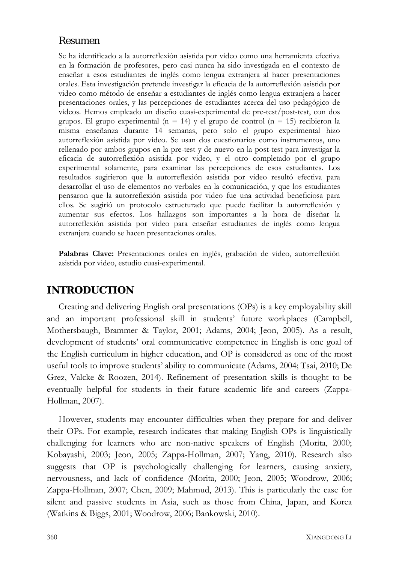## Resumen

Se ha identificado a la autorreflexión asistida por video como una herramienta efectiva en la formación de profesores, pero casi nunca ha sido investigada en el contexto de enseñar a esos estudiantes de inglés como lengua extranjera al hacer presentaciones orales. Esta investigación pretende investigar la eficacia de la autorreflexión asistida por video como método de enseñar a estudiantes de inglés como lengua extranjera a hacer presentaciones orales, y las percepciones de estudiantes acerca del uso pedagógico de videos. Hemos empleado un diseño cuasi-experimental de pre-test/post-test, con dos grupos. El grupo experimental (n = 14) y el grupo de control (n = 15) recibieron la misma enseñanza durante 14 semanas, pero solo el grupo experimental hizo autorreflexión asistida por video. Se usan dos cuestionarios como instrumentos, uno rellenado por ambos grupos en la pre-test y de nuevo en la post-test para investigar la eficacia de autorreflexión asistida por video, y el otro completado por el grupo experimental solamente, para examinar las percepciones de esos estudiantes. Los resultados sugirieron que la autorreflexión asistida por video resultó efectiva para desarrollar el uso de elementos no verbales en la comunicación, y que los estudiantes pensaron que la autorreflexión asistida por video fue una actividad beneficiosa para ellos. Se sugirió un protocolo estructurado que puede facilitar la autorreflexión y aumentar sus efectos. Los hallazgos son importantes a la hora de diseñar la autorreflexión asistida por video para enseñar estudiantes de inglés como lengua extranjera cuando se hacen presentaciones orales.

**Palabras Clave:** Presentaciones orales en inglés, grabación de video, autorreflexión asistida por video, estudio cuasi-experimental.

# **INTRODUCTION**

Creating and delivering English oral presentations (OPs) is a key employability skill and an important professional skill in students' future workplaces (Campbell, Mothersbaugh, Brammer & Taylor, 2001; Adams, 2004; Jeon, 2005). As a result, development of students' oral communicative competence in English is one goal of the English curriculum in higher education, and OP is considered as one of the most useful tools to improve students' ability to communicate (Adams, 2004; Tsai, 2010; De Grez, Valcke & Roozen, 2014). Refinement of presentation skills is thought to be eventually helpful for students in their future academic life and careers (Zappa-Hollman, 2007).

However, students may encounter difficulties when they prepare for and deliver their OPs. For example, research indicates that making English OPs is linguistically challenging for learners who are non-native speakers of English (Morita, 2000; Kobayashi, 2003; Jeon, 2005; Zappa-Hollman, 2007; Yang, 2010). Research also suggests that OP is psychologically challenging for learners, causing anxiety, nervousness, and lack of confidence (Morita, 2000; Jeon, 2005; Woodrow, 2006; Zappa-Hollman, 2007; Chen, 2009; Mahmud, 2013). This is particularly the case for silent and passive students in Asia, such as those from China, Japan, and Korea (Watkins & Biggs, 2001; Woodrow, 2006; Bankowski, 2010).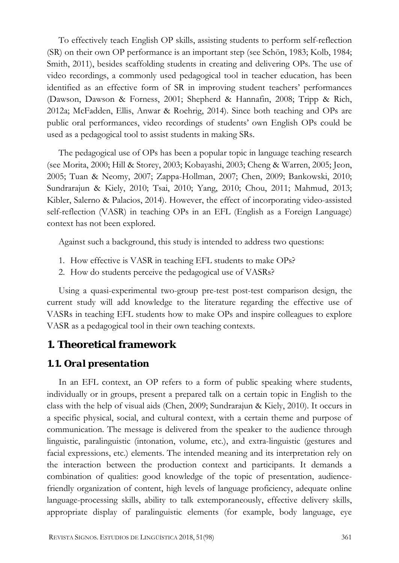To effectively teach English OP skills, assisting students to perform self-reflection (SR) on their own OP performance is an important step (see Schön, 1983; Kolb, 1984; Smith, 2011), besides scaffolding students in creating and delivering OPs. The use of video recordings, a commonly used pedagogical tool in teacher education, has been identified as an effective form of SR in improving student teachers' performances (Dawson, Dawson & Forness, 2001; Shepherd & Hannafin, 2008; Tripp & Rich, 2012a; McFadden, Ellis, Anwar & Roehrig, 2014). Since both teaching and OPs are public oral performances, video recordings of students' own English OPs could be used as a pedagogical tool to assist students in making SRs.

The pedagogical use of OPs has been a popular topic in language teaching research (see Morita, 2000; Hill & Storey, 2003; Kobayashi, 2003; Cheng & Warren, 2005; Jeon, 2005; Tuan & Neomy, 2007; Zappa-Hollman, 2007; Chen, 2009; Bankowski, 2010; Sundrarajun & Kiely, 2010; Tsai, 2010; Yang, 2010; Chou, 2011; Mahmud, 2013; Kibler, Salerno & Palacios, 2014). However, the effect of incorporating video-assisted self-reflection (VASR) in teaching OPs in an EFL (English as a Foreign Language) context has not been explored.

Against such a background, this study is intended to address two questions:

- 1. How effective is VASR in teaching EFL students to make OPs?
- 2. How do students perceive the pedagogical use of VASRs?

Using a quasi-experimental two-group pre-test post-test comparison design, the current study will add knowledge to the literature regarding the effective use of VASRs in teaching EFL students how to make OPs and inspire colleagues to explore VASR as a pedagogical tool in their own teaching contexts.

# **1. Theoretical framework**

## *1.1. Oral presentation*

In an EFL context, an OP refers to a form of public speaking where students, individually or in groups, present a prepared talk on a certain topic in English to the class with the help of visual aids (Chen, 2009; Sundrarajun & Kiely, 2010). It occurs in a specific physical, social, and cultural context, with a certain theme and purpose of communication. The message is delivered from the speaker to the audience through linguistic, paralinguistic (intonation, volume, etc.), and extra-linguistic (gestures and facial expressions, etc.) elements. The intended meaning and its interpretation rely on the interaction between the production context and participants. It demands a combination of qualities: good knowledge of the topic of presentation, audiencefriendly organization of content, high levels of language proficiency, adequate online language-processing skills, ability to talk extemporaneously, effective delivery skills, appropriate display of paralinguistic elements (for example, body language, eye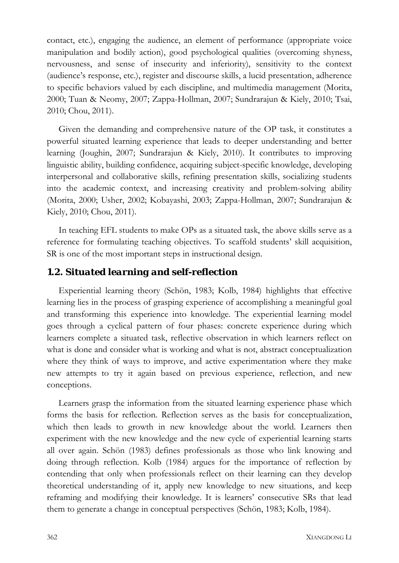contact, etc.), engaging the audience, an element of performance (appropriate voice manipulation and bodily action), good psychological qualities (overcoming shyness, nervousness, and sense of insecurity and inferiority), sensitivity to the context (audience's response, etc.), register and discourse skills, a lucid presentation, adherence to specific behaviors valued by each discipline, and multimedia management (Morita, 2000; Tuan & Neomy, 2007; Zappa-Hollman, 2007; Sundrarajun & Kiely, 2010; Tsai, 2010; Chou, 2011).

Given the demanding and comprehensive nature of the OP task, it constitutes a powerful situated learning experience that leads to deeper understanding and better learning (Joughin, 2007; Sundrarajun & Kiely, 2010). It contributes to improving linguistic ability, building confidence, acquiring subject-specific knowledge, developing interpersonal and collaborative skills, refining presentation skills, socializing students into the academic context, and increasing creativity and problem-solving ability (Morita, 2000; Usher, 2002; Kobayashi, 2003; Zappa-Hollman, 2007; Sundrarajun & Kiely, 2010; Chou, 2011).

In teaching EFL students to make OPs as a situated task, the above skills serve as a reference for formulating teaching objectives. To scaffold students' skill acquisition, SR is one of the most important steps in instructional design.

# *1.2. Situated learning and self-reflection*

Experiential learning theory (Schön, 1983; Kolb, 1984) highlights that effective learning lies in the process of grasping experience of accomplishing a meaningful goal and transforming this experience into knowledge. The experiential learning model goes through a cyclical pattern of four phases: concrete experience during which learners complete a situated task, reflective observation in which learners reflect on what is done and consider what is working and what is not, abstract conceptualization where they think of ways to improve, and active experimentation where they make new attempts to try it again based on previous experience, reflection, and new conceptions.

Learners grasp the information from the situated learning experience phase which forms the basis for reflection. Reflection serves as the basis for conceptualization, which then leads to growth in new knowledge about the world. Learners then experiment with the new knowledge and the new cycle of experiential learning starts all over again. Schön (1983) defines professionals as those who link knowing and doing through reflection. Kolb (1984) argues for the importance of reflection by contending that only when professionals reflect on their learning can they develop theoretical understanding of it, apply new knowledge to new situations, and keep reframing and modifying their knowledge. It is learners' consecutive SRs that lead them to generate a change in conceptual perspectives (Schön, 1983; Kolb, 1984).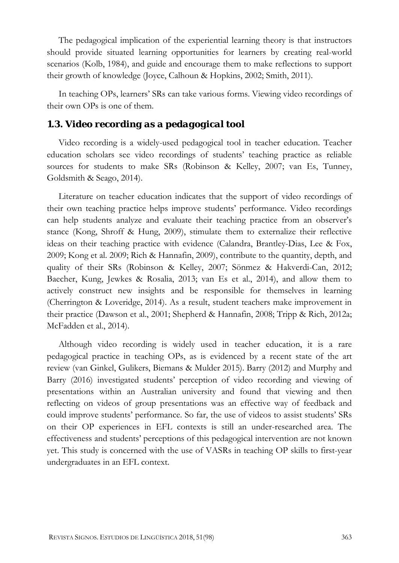The pedagogical implication of the experiential learning theory is that instructors should provide situated learning opportunities for learners by creating real-world scenarios (Kolb, 1984), and guide and encourage them to make reflections to support their growth of knowledge (Joyce, Calhoun & Hopkins, 2002; Smith, 2011).

In teaching OPs, learners' SRs can take various forms. Viewing video recordings of their own OPs is one of them.

### *1.3. Video recording as a pedagogical tool*

Video recording is a widely-used pedagogical tool in teacher education. Teacher education scholars see video recordings of students' teaching practice as reliable sources for students to make SRs (Robinson & Kelley, 2007; van Es, Tunney, Goldsmith & Seago, 2014).

Literature on teacher education indicates that the support of video recordings of their own teaching practice helps improve students' performance. Video recordings can help students analyze and evaluate their teaching practice from an observer's stance (Kong, Shroff & Hung, 2009), stimulate them to externalize their reflective ideas on their teaching practice with evidence (Calandra, Brantley-Dias, Lee & Fox, 2009; Kong et al. 2009; Rich & Hannafin, 2009), contribute to the quantity, depth, and quality of their SRs (Robinson & Kelley, 2007; Sönmez & Hakverdi-Can, 2012; Baecher, Kung, Jewkes & Rosalia, 2013; van Es et al., 2014), and allow them to actively construct new insights and be responsible for themselves in learning (Cherrington & Loveridge, 2014). As a result, student teachers make improvement in their practice (Dawson et al., 2001; Shepherd & Hannafin, 2008; Tripp & Rich, 2012a; McFadden et al., 2014).

Although video recording is widely used in teacher education, it is a rare pedagogical practice in teaching OPs, as is evidenced by a recent state of the art review (van Ginkel, Gulikers, Biemans & Mulder 2015). Barry (2012) and Murphy and Barry (2016) investigated students' perception of video recording and viewing of presentations within an Australian university and found that viewing and then reflecting on videos of group presentations was an effective way of feedback and could improve students' performance. So far, the use of videos to assist students' SRs on their OP experiences in EFL contexts is still an under-researched area. The effectiveness and students' perceptions of this pedagogical intervention are not known yet. This study is concerned with the use of VASRs in teaching OP skills to first-year undergraduates in an EFL context.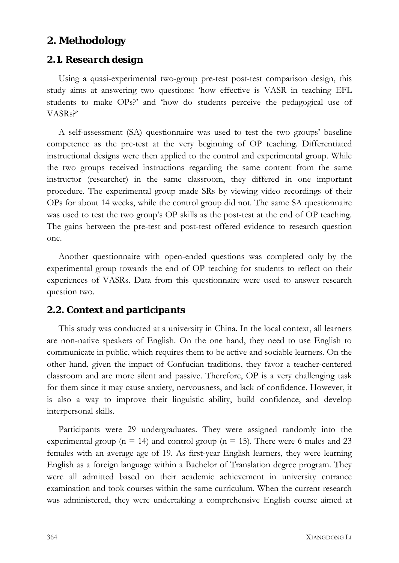# **2. Methodology**

#### *2.1. Research design*

Using a quasi-experimental two-group pre-test post-test comparison design, this study aims at answering two questions: 'how effective is VASR in teaching EFL students to make OPs?' and 'how do students perceive the pedagogical use of VASRs?'

A self-assessment (SA) questionnaire was used to test the two groups' baseline competence as the pre-test at the very beginning of OP teaching. Differentiated instructional designs were then applied to the control and experimental group. While the two groups received instructions regarding the same content from the same instructor (researcher) in the same classroom, they differed in one important procedure. The experimental group made SRs by viewing video recordings of their OPs for about 14 weeks, while the control group did not. The same SA questionnaire was used to test the two group's OP skills as the post-test at the end of OP teaching. The gains between the pre-test and post-test offered evidence to research question one.

Another questionnaire with open-ended questions was completed only by the experimental group towards the end of OP teaching for students to reflect on their experiences of VASRs. Data from this questionnaire were used to answer research question two.

#### *2.2. Context and participants*

This study was conducted at a university in China. In the local context, all learners are non-native speakers of English. On the one hand, they need to use English to communicate in public, which requires them to be active and sociable learners. On the other hand, given the impact of Confucian traditions, they favor a teacher-centered classroom and are more silent and passive. Therefore, OP is a very challenging task for them since it may cause anxiety, nervousness, and lack of confidence. However, it is also a way to improve their linguistic ability, build confidence, and develop interpersonal skills.

Participants were 29 undergraduates. They were assigned randomly into the experimental group ( $n = 14$ ) and control group ( $n = 15$ ). There were 6 males and 23 females with an average age of 19. As first-year English learners, they were learning English as a foreign language within a Bachelor of Translation degree program. They were all admitted based on their academic achievement in university entrance examination and took courses within the same curriculum. When the current research was administered, they were undertaking a comprehensive English course aimed at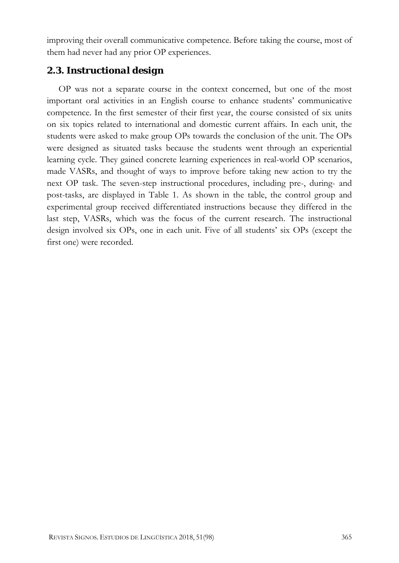improving their overall communicative competence. Before taking the course, most of them had never had any prior OP experiences.

# *2.3. Instructional design*

OP was not a separate course in the context concerned, but one of the most important oral activities in an English course to enhance students' communicative competence. In the first semester of their first year, the course consisted of six units on six topics related to international and domestic current affairs. In each unit, the students were asked to make group OPs towards the conclusion of the unit. The OPs were designed as situated tasks because the students went through an experiential learning cycle. They gained concrete learning experiences in real-world OP scenarios, made VASRs, and thought of ways to improve before taking new action to try the next OP task. The seven-step instructional procedures, including pre-, during- and post-tasks, are displayed in Table 1. As shown in the table, the control group and experimental group received differentiated instructions because they differed in the last step, VASRs, which was the focus of the current research. The instructional design involved six OPs, one in each unit. Five of all students' six OPs (except the first one) were recorded.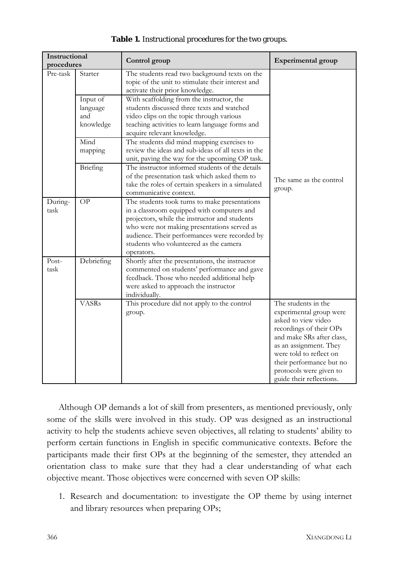| Instructional<br>procedures              |                 | Control group                                                                                                                                                                                                                                                                                        | <b>Experimental group</b>                                                                                                                                                                                                                                             |  |  |
|------------------------------------------|-----------------|------------------------------------------------------------------------------------------------------------------------------------------------------------------------------------------------------------------------------------------------------------------------------------------------------|-----------------------------------------------------------------------------------------------------------------------------------------------------------------------------------------------------------------------------------------------------------------------|--|--|
| Pre-task                                 | Starter         | The students read two background texts on the<br>topic of the unit to stimulate their interest and<br>activate their prior knowledge.                                                                                                                                                                |                                                                                                                                                                                                                                                                       |  |  |
| Input of<br>language<br>and<br>knowledge |                 | With scaffolding from the instructor, the<br>students discussed three texts and watched<br>video clips on the topic through various<br>teaching activities to learn language forms and<br>acquire relevant knowledge.                                                                                |                                                                                                                                                                                                                                                                       |  |  |
|                                          | Mind<br>mapping | The students did mind mapping exercises to<br>review the ideas and sub-ideas of all texts in the<br>unit, paving the way for the upcoming OP task.                                                                                                                                                   |                                                                                                                                                                                                                                                                       |  |  |
|                                          | Briefing        | The instructor informed students of the details<br>of the presentation task which asked them to<br>take the roles of certain speakers in a simulated<br>communicative context.                                                                                                                       | The same as the control<br>group.                                                                                                                                                                                                                                     |  |  |
| During-<br>task                          | OP              | The students took turns to make presentations<br>in a classroom equipped with computers and<br>projectors, while the instructor and students<br>who were not making presentations served as<br>audience. Their performances were recorded by<br>students who volunteered as the camera<br>operators. |                                                                                                                                                                                                                                                                       |  |  |
| Post-<br>task                            | Debriefing      | Shortly after the presentations, the instructor<br>commented on students' performance and gave<br>feedback. Those who needed additional help<br>were asked to approach the instructor<br>individually.                                                                                               |                                                                                                                                                                                                                                                                       |  |  |
|                                          | <b>VASRs</b>    | This procedure did not apply to the control<br>group.                                                                                                                                                                                                                                                | The students in the<br>experimental group were<br>asked to view video<br>recordings of their OPs<br>and make SRs after class,<br>as an assignment. They<br>were told to reflect on<br>their performance but no<br>protocols were given to<br>guide their reflections. |  |  |

| Table 1. Instructional procedures for the two groups. |  |
|-------------------------------------------------------|--|
|-------------------------------------------------------|--|

Although OP demands a lot of skill from presenters, as mentioned previously, only some of the skills were involved in this study. OP was designed as an instructional activity to help the students achieve seven objectives, all relating to students' ability to perform certain functions in English in specific communicative contexts. Before the participants made their first OPs at the beginning of the semester, they attended an orientation class to make sure that they had a clear understanding of what each objective meant. Those objectives were concerned with seven OP skills:

1. Research and documentation: to investigate the OP theme by using internet and library resources when preparing OPs;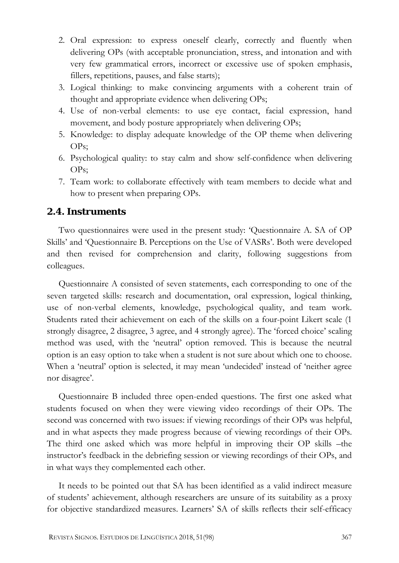- 2. Oral expression: to express oneself clearly, correctly and fluently when delivering OPs (with acceptable pronunciation, stress, and intonation and with very few grammatical errors, incorrect or excessive use of spoken emphasis, fillers, repetitions, pauses, and false starts);
- 3. Logical thinking: to make convincing arguments with a coherent train of thought and appropriate evidence when delivering OPs;
- 4. Use of non-verbal elements: to use eye contact, facial expression, hand movement, and body posture appropriately when delivering OPs;
- 5. Knowledge: to display adequate knowledge of the OP theme when delivering OPs;
- 6. Psychological quality: to stay calm and show self-confidence when delivering OPs;
- 7. Team work: to collaborate effectively with team members to decide what and how to present when preparing OPs.

# *2.4. Instruments*

Two questionnaires were used in the present study: 'Questionnaire A. SA of OP Skills' and 'Questionnaire B. Perceptions on the Use of VASRs'. Both were developed and then revised for comprehension and clarity, following suggestions from colleagues.

Questionnaire A consisted of seven statements, each corresponding to one of the seven targeted skills: research and documentation, oral expression, logical thinking, use of non-verbal elements, knowledge, psychological quality, and team work. Students rated their achievement on each of the skills on a four-point Likert scale (1 strongly disagree, 2 disagree, 3 agree, and 4 strongly agree). The 'forced choice' scaling method was used, with the 'neutral' option removed. This is because the neutral option is an easy option to take when a student is not sure about which one to choose. When a 'neutral' option is selected, it may mean 'undecided' instead of 'neither agree nor disagree'.

Questionnaire B included three open-ended questions. The first one asked what students focused on when they were viewing video recordings of their OPs. The second was concerned with two issues: if viewing recordings of their OPs was helpful, and in what aspects they made progress because of viewing recordings of their OPs. The third one asked which was more helpful in improving their OP skills –the instructor's feedback in the debriefing session or viewing recordings of their OPs, and in what ways they complemented each other.

It needs to be pointed out that SA has been identified as a valid indirect measure of students' achievement, although researchers are unsure of its suitability as a proxy for objective standardized measures. Learners' SA of skills reflects their self-efficacy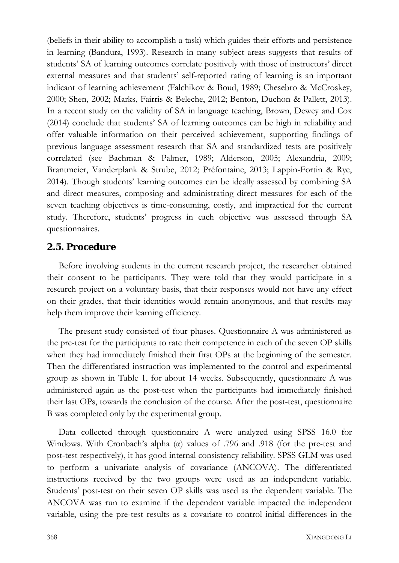(beliefs in their ability to accomplish a task) which guides their efforts and persistence in learning (Bandura, 1993). Research in many subject areas suggests that results of students' SA of learning outcomes correlate positively with those of instructors' direct external measures and that students' self-reported rating of learning is an important indicant of learning achievement (Falchikov & Boud, 1989; Chesebro & McCroskey, 2000; Shen, 2002; Marks, Fairris & Beleche, 2012; Benton, Duchon & Pallett, 2013). In a recent study on the validity of SA in language teaching, Brown, Dewey and Cox (2014) conclude that students' SA of learning outcomes can be high in reliability and offer valuable information on their perceived achievement, supporting findings of previous language assessment research that SA and standardized tests are positively correlated (see Bachman & Palmer, 1989; Alderson, 2005; Alexandria, 2009; Brantmeier, Vanderplank & Strube, 2012; Préfontaine, 2013; Lappin-Fortin & Rye, 2014). Though students' learning outcomes can be ideally assessed by combining SA and direct measures, composing and administrating direct measures for each of the seven teaching objectives is time-consuming, costly, and impractical for the current study. Therefore, students' progress in each objective was assessed through SA questionnaires.

# *2.5. Procedure*

Before involving students in the current research project, the researcher obtained their consent to be participants. They were told that they would participate in a research project on a voluntary basis, that their responses would not have any effect on their grades, that their identities would remain anonymous, and that results may help them improve their learning efficiency.

The present study consisted of four phases. Questionnaire A was administered as the pre-test for the participants to rate their competence in each of the seven OP skills when they had immediately finished their first OPs at the beginning of the semester. Then the differentiated instruction was implemented to the control and experimental group as shown in Table 1, for about 14 weeks. Subsequently, questionnaire A was administered again as the post-test when the participants had immediately finished their last OPs, towards the conclusion of the course. After the post-test, questionnaire B was completed only by the experimental group.

Data collected through questionnaire A were analyzed using SPSS 16.0 for Windows. With Cronbach's alpha  $(\alpha)$  values of .796 and .918 (for the pre-test and post-test respectively), it has good internal consistency reliability. SPSS GLM was used to perform a univariate analysis of covariance (ANCOVA). The differentiated instructions received by the two groups were used as an independent variable. Students' post-test on their seven OP skills was used as the dependent variable. The ANCOVA was run to examine if the dependent variable impacted the independent variable, using the pre-test results as a covariate to control initial differences in the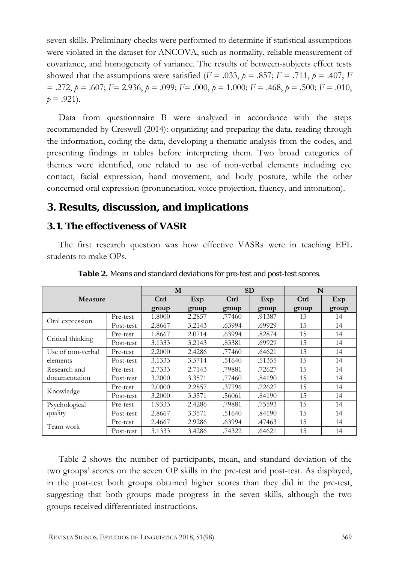seven skills. Preliminary checks were performed to determine if statistical assumptions were violated in the dataset for ANCOVA, such as normality, reliable measurement of covariance, and homogeneity of variance. The results of between-subjects effect tests showed that the assumptions were satisfied ( $F = .033$ ,  $p = .857$ ;  $F = .711$ ,  $p = .407$ ;  $F = .711$ = .272, *p* = .607; *F*= 2.936, *p* = .099; *F*= .000, *p* = 1.000; *F* = .468, *p* = .500; *F* = .010,  $p = .921$ .

Data from questionnaire B were analyzed in accordance with the steps recommended by Creswell (2014): organizing and preparing the data, reading through the information, coding the data, developing a thematic analysis from the codes, and presenting findings in tables before interpreting them. Two broad categories of themes were identified, one related to use of non-verbal elements including eye contact, facial expression, hand movement, and body posture, while the other concerned oral expression (pronunciation, voice projection, fluency, and intonation).

# **3. Results, discussion, and implications**

## *3.1. The effectiveness of VASR*

The first research question was how effective VASRs were in teaching EFL students to make OPs.

| Measure           |           | M      |        | <b>SD</b> |        | N     |       |
|-------------------|-----------|--------|--------|-----------|--------|-------|-------|
|                   |           | Ctrl   | Exp    | Ctrl      | Exp    | Ctrl  | Exp   |
|                   |           | group  | group  | group     | group  | group | group |
|                   | Pre-test  | 1.8000 | 2.2857 | .77460    | .91387 | 15    | 14    |
| Oral expression   | Post-test | 2.8667 | 3.2143 | .63994    | .69929 | 15    | 14    |
|                   | Pre-test  | 1.8667 | 2.0714 | .63994    | .82874 | 15    | 14    |
| Critical thinking | Post-test | 3.1333 | 3.2143 | .83381    | .69929 | 15    | 14    |
| Use of non-verbal | Pre-test  | 2.2000 | 2.4286 | .77460    | .64621 | 15    | 14    |
| elements          | Post-test | 3.1333 | 3.5714 | .51640    | .51355 | 15    | 14    |
| Research and      | Pre-test  | 2.7333 | 2.7143 | .79881    | .72627 | 15    | 14    |
| documentation     | Post-test | 3.2000 | 3.3571 | .77460    | .84190 | 15    | 14    |
|                   | Pre-test  | 2.0000 | 2.2857 | .37796    | .72627 | 15    | 14    |
| Knowledge         | Post-test | 3.2000 | 3.3571 | .56061    | .84190 | 15    | 14    |
| Psychological     | Pre-test  | 1.9333 | 2.4286 | .79881    | .75593 | 15    | 14    |
| quality           | Post-test | 2.8667 | 3.3571 | .51640    | .84190 | 15    | 14    |
| Team work         | Pre-test  | 2.4667 | 2.9286 | .63994    | .47463 | 15    | 14    |
|                   | Post-test | 3.1333 | 3.4286 | .74322    | .64621 | 15    | 14    |

**Table 2.** Means and standard deviations for pre-test and post-test scores.

Table 2 shows the number of participants, mean, and standard deviation of the two groups' scores on the seven OP skills in the pre-test and post-test. As displayed, in the post-test both groups obtained higher scores than they did in the pre-test, suggesting that both groups made progress in the seven skills, although the two groups received differentiated instructions.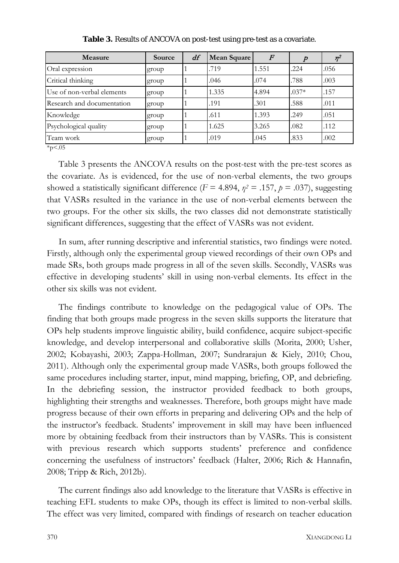| Measure                    | Source | df | <b>Mean Square</b> | $\boldsymbol{F}$ |         | $\eta^2$ |
|----------------------------|--------|----|--------------------|------------------|---------|----------|
| Oral expression            | group  |    | .719               | 1.551            | .224    | .056     |
| Critical thinking          | group  |    | .046               | .074             | .788    | .003     |
| Use of non-verbal elements | group  |    | 1.335              | 4.894            | $.037*$ | .157     |
| Research and documentation | group  |    | .191               | .301             | .588    | .011     |
| Knowledge                  | group  |    | .611               | 1.393            | .249    | .051     |
| Psychological quality      | group  |    | 1.625              | 3.265            | .082    | .112     |
| Team work                  | group  |    | .019               | .045             | .833    | .002     |
| $*_{0}$ $\leq$ 05          |        |    |                    |                  |         |          |

**Table 3.** Results of ANCOVA on post-test using pre-test as a covariate.

\*p<.05

Table 3 presents the ANCOVA results on the post-test with the pre-test scores as the covariate. As is evidenced, for the use of non-verbal elements, the two groups showed a statistically significant difference  $(F = 4.894, \eta^2 = .157, \rho = .037)$ , suggesting that VASRs resulted in the variance in the use of non-verbal elements between the two groups. For the other six skills, the two classes did not demonstrate statistically significant differences, suggesting that the effect of VASRs was not evident.

In sum, after running descriptive and inferential statistics, two findings were noted. Firstly, although only the experimental group viewed recordings of their own OPs and made SRs, both groups made progress in all of the seven skills. Secondly, VASRs was effective in developing students' skill in using non-verbal elements. Its effect in the other six skills was not evident.

The findings contribute to knowledge on the pedagogical value of OPs. The finding that both groups made progress in the seven skills supports the literature that OPs help students improve linguistic ability, build confidence, acquire subject-specific knowledge, and develop interpersonal and collaborative skills (Morita, 2000; Usher, 2002; Kobayashi, 2003; Zappa-Hollman, 2007; Sundrarajun & Kiely, 2010; Chou, 2011). Although only the experimental group made VASRs, both groups followed the same procedures including starter, input, mind mapping, briefing, OP, and debriefing. In the debriefing session, the instructor provided feedback to both groups, highlighting their strengths and weaknesses. Therefore, both groups might have made progress because of their own efforts in preparing and delivering OPs and the help of the instructor's feedback. Students' improvement in skill may have been influenced more by obtaining feedback from their instructors than by VASRs. This is consistent with previous research which supports students' preference and confidence concerning the usefulness of instructors' feedback (Halter, 2006; Rich & Hannafin, 2008; Tripp & Rich, 2012b).

The current findings also add knowledge to the literature that VASRs is effective in teaching EFL students to make OPs, though its effect is limited to non-verbal skills. The effect was very limited, compared with findings of research on teacher education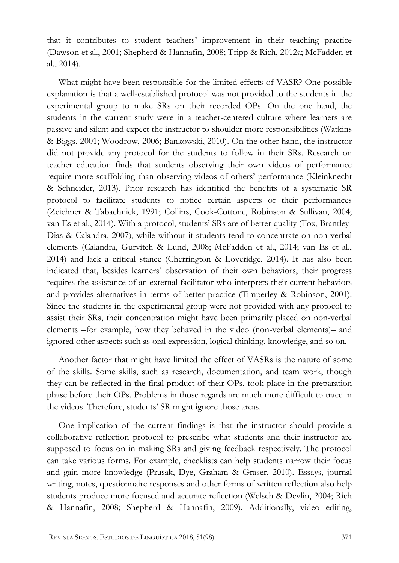that it contributes to student teachers' improvement in their teaching practice (Dawson et al., 2001; Shepherd & Hannafin, 2008; Tripp & Rich, 2012a; McFadden et al., 2014).

What might have been responsible for the limited effects of VASR? One possible explanation is that a well-established protocol was not provided to the students in the experimental group to make SRs on their recorded OPs. On the one hand, the students in the current study were in a teacher-centered culture where learners are passive and silent and expect the instructor to shoulder more responsibilities (Watkins & Biggs, 2001; Woodrow, 2006; Bankowski, 2010). On the other hand, the instructor did not provide any protocol for the students to follow in their SRs. Research on teacher education finds that students observing their own videos of performance require more scaffolding than observing videos of others' performance (Kleinknecht & Schneider, 2013). Prior research has identified the benefits of a systematic SR protocol to facilitate students to notice certain aspects of their performances (Zeichner & Tabachnick, 1991; Collins, Cook-Cottone, Robinson & Sullivan, 2004; van Es et al., 2014). With a protocol, students' SRs are of better quality (Fox, Brantley-Dias & Calandra, 2007), while without it students tend to concentrate on non-verbal elements (Calandra, Gurvitch & Lund, 2008; McFadden et al., 2014; van Es et al., 2014) and lack a critical stance (Cherrington & Loveridge, 2014). It has also been indicated that, besides learners' observation of their own behaviors, their progress requires the assistance of an external facilitator who interprets their current behaviors and provides alternatives in terms of better practice (Timperley & Robinson, 2001). Since the students in the experimental group were not provided with any protocol to assist their SRs, their concentration might have been primarily placed on non-verbal elements –for example, how they behaved in the video (non-verbal elements)– and ignored other aspects such as oral expression, logical thinking, knowledge, and so on.

Another factor that might have limited the effect of VASRs is the nature of some of the skills. Some skills, such as research, documentation, and team work, though they can be reflected in the final product of their OPs, took place in the preparation phase before their OPs. Problems in those regards are much more difficult to trace in the videos. Therefore, students' SR might ignore those areas.

One implication of the current findings is that the instructor should provide a collaborative reflection protocol to prescribe what students and their instructor are supposed to focus on in making SRs and giving feedback respectively. The protocol can take various forms. For example, checklists can help students narrow their focus and gain more knowledge (Prusak, Dye, Graham & Graser, 2010). Essays, journal writing, notes, questionnaire responses and other forms of written reflection also help students produce more focused and accurate reflection (Welsch & Devlin, 2004; Rich & Hannafin, 2008; Shepherd & Hannafin, 2009). Additionally, video editing,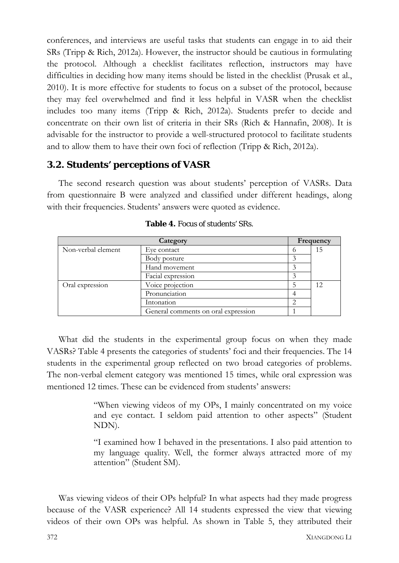conferences, and interviews are useful tasks that students can engage in to aid their SRs (Tripp & Rich, 2012a). However, the instructor should be cautious in formulating the protocol. Although a checklist facilitates reflection, instructors may have difficulties in deciding how many items should be listed in the checklist (Prusak et al., 2010). It is more effective for students to focus on a subset of the protocol, because they may feel overwhelmed and find it less helpful in VASR when the checklist includes too many items (Tripp & Rich, 2012a). Students prefer to decide and concentrate on their own list of criteria in their SRs (Rich & Hannafin, 2008). It is advisable for the instructor to provide a well-structured protocol to facilitate students and to allow them to have their own foci of reflection (Tripp & Rich, 2012a).

## *3.2. Students' perceptions of VASR*

The second research question was about students' perception of VASRs. Data from questionnaire B were analyzed and classified under different headings, along with their frequencies. Students' answers were quoted as evidence.

| Category           |                                     |   | Frequency |  |  |
|--------------------|-------------------------------------|---|-----------|--|--|
| Non-verbal element | Eve contact                         | O | د،        |  |  |
|                    | Body posture                        |   |           |  |  |
|                    | Hand movement                       |   |           |  |  |
|                    | Facial expression                   |   |           |  |  |
| Oral expression    | Voice projection                    |   | 12        |  |  |
|                    | Pronunciation                       | 4 |           |  |  |
|                    | Intonation                          |   |           |  |  |
|                    | General comments on oral expression |   |           |  |  |

**Table 4.** Focus of students' SRs.

What did the students in the experimental group focus on when they made VASRs? Table 4 presents the categories of students' foci and their frequencies. The 14 students in the experimental group reflected on two broad categories of problems. The non-verbal element category was mentioned 15 times, while oral expression was mentioned 12 times. These can be evidenced from students' answers:

> "When viewing videos of my OPs, I mainly concentrated on my voice and eye contact. I seldom paid attention to other aspects" (Student NDN).

> "I examined how I behaved in the presentations. I also paid attention to my language quality. Well, the former always attracted more of my attention" (Student SM).

Was viewing videos of their OPs helpful? In what aspects had they made progress because of the VASR experience? All 14 students expressed the view that viewing videos of their own OPs was helpful. As shown in Table 5, they attributed their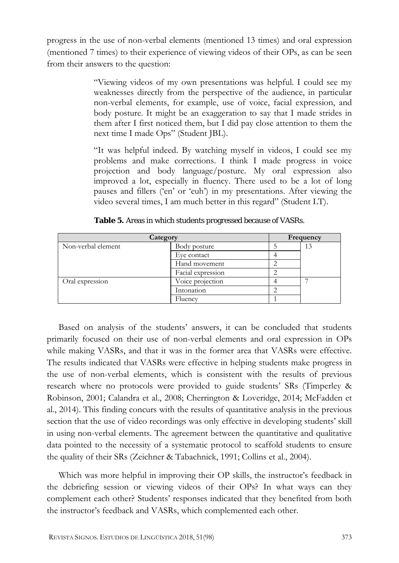progress in the use of non-verbal elements (mentioned 13 times) and oral expression (mentioned 7 times) to their experience of viewing videos of their OPs, as can be seen from their answers to the question:

> "Viewing videos of my own presentations was helpful. I could see my weaknesses directly from the perspective of the audience, in particular non-verbal elements, for example, use of voice, facial expression, and body posture. It might be an exaggeration to say that I made strides in them after I first noticed them, but I did pay close attention to them the next time I made Ops" (Student JBL).

> "It was helpful indeed. By watching myself in videos, I could see my problems and make corrections. I think I made progress in voice projection and body language/posture. My oral expression also improved a lot, especially in fluency. There used to be a lot of long pauses and fillers ('en' or 'euh') in my presentations. After viewing the video several times, I am much better in this regard" (Student LT).

| Category           |                   |  | Frequency |  |  |
|--------------------|-------------------|--|-----------|--|--|
| Non-verbal element | Body posture      |  | 13        |  |  |
|                    | Eye contact       |  |           |  |  |
|                    | Hand movement     |  |           |  |  |
|                    | Facial expression |  |           |  |  |
| Oral expression    | Voice projection  |  |           |  |  |
|                    | Intonation        |  |           |  |  |
|                    | Fluency           |  |           |  |  |

**Table 5.** Areas in which students progressed because of VASRs.

Based on analysis of the students' answers, it can be concluded that students primarily focused on their use of non-verbal elements and oral expression in OPs while making VASRs, and that it was in the former area that VASRs were effective. The results indicated that VASRs were effective in helping students make progress in the use of non-verbal elements, which is consistent with the results of previous research where no protocols were provided to guide students' SRs (Timperley & Robinson, 2001; Calandra et al., 2008; Cherrington & Loveridge, 2014; McFadden et al., 2014). This finding concurs with the results of quantitative analysis in the previous section that the use of video recordings was only effective in developing students' skill in using non-verbal elements. The agreement between the quantitative and qualitative data pointed to the necessity of a systematic protocol to scaffold students to ensure the quality of their SRs (Zeichner & Tabachnick, 1991; Collins et al., 2004).

Which was more helpful in improving their OP skills, the instructor's feedback in the debriefing session or viewing videos of their OPs? In what ways can they complement each other? Students' responses indicated that they benefited from both the instructor's feedback and VASRs, which complemented each other.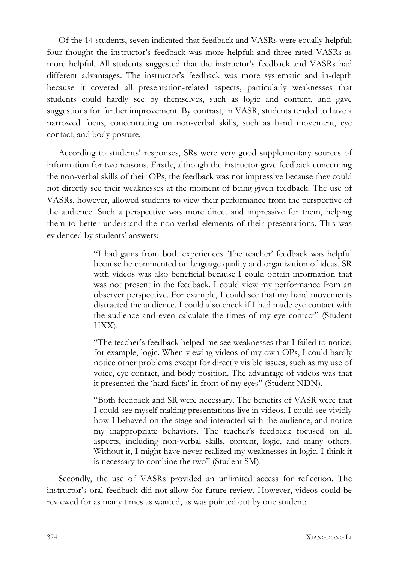Of the 14 students, seven indicated that feedback and VASRs were equally helpful; four thought the instructor's feedback was more helpful; and three rated VASRs as more helpful. All students suggested that the instructor's feedback and VASRs had different advantages. The instructor's feedback was more systematic and in-depth because it covered all presentation-related aspects, particularly weaknesses that students could hardly see by themselves, such as logic and content, and gave suggestions for further improvement. By contrast, in VASR, students tended to have a narrowed focus, concentrating on non-verbal skills, such as hand movement, eye contact, and body posture.

According to students' responses, SRs were very good supplementary sources of information for two reasons. Firstly, although the instructor gave feedback concerning the non-verbal skills of their OPs, the feedback was not impressive because they could not directly see their weaknesses at the moment of being given feedback. The use of VASRs, however, allowed students to view their performance from the perspective of the audience. Such a perspective was more direct and impressive for them, helping them to better understand the non-verbal elements of their presentations. This was evidenced by students' answers:

> "I had gains from both experiences. The teacher' feedback was helpful because he commented on language quality and organization of ideas. SR with videos was also beneficial because I could obtain information that was not present in the feedback. I could view my performance from an observer perspective. For example, I could see that my hand movements distracted the audience. I could also check if I had made eye contact with the audience and even calculate the times of my eye contact" (Student HXX).

> "The teacher's feedback helped me see weaknesses that I failed to notice; for example, logic. When viewing videos of my own OPs, I could hardly notice other problems except for directly visible issues, such as my use of voice, eye contact, and body position. The advantage of videos was that it presented the 'hard facts' in front of my eyes" (Student NDN).

> "Both feedback and SR were necessary. The benefits of VASR were that I could see myself making presentations live in videos. I could see vividly how I behaved on the stage and interacted with the audience, and notice my inappropriate behaviors. The teacher's feedback focused on all aspects, including non-verbal skills, content, logic, and many others. Without it, I might have never realized my weaknesses in logic. I think it is necessary to combine the two" (Student SM).

Secondly, the use of VASRs provided an unlimited access for reflection. The instructor's oral feedback did not allow for future review. However, videos could be reviewed for as many times as wanted, as was pointed out by one student: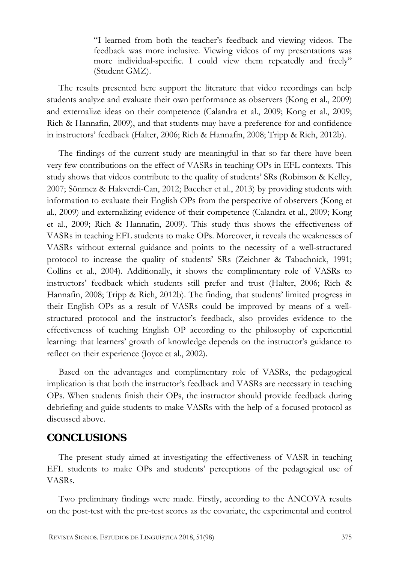"I learned from both the teacher's feedback and viewing videos. The feedback was more inclusive. Viewing videos of my presentations was more individual-specific. I could view them repeatedly and freely" (Student GMZ).

The results presented here support the literature that video recordings can help students analyze and evaluate their own performance as observers (Kong et al., 2009) and externalize ideas on their competence (Calandra et al., 2009; Kong et al., 2009; Rich & Hannafin, 2009), and that students may have a preference for and confidence in instructors' feedback (Halter, 2006; Rich & Hannafin, 2008; Tripp & Rich, 2012b).

The findings of the current study are meaningful in that so far there have been very few contributions on the effect of VASRs in teaching OPs in EFL contexts. This study shows that videos contribute to the quality of students' SRs (Robinson & Kelley, 2007; Sönmez & Hakverdi-Can, 2012; Baecher et al., 2013) by providing students with information to evaluate their English OPs from the perspective of observers (Kong et al., 2009) and externalizing evidence of their competence (Calandra et al., 2009; Kong et al., 2009; Rich & Hannafin, 2009). This study thus shows the effectiveness of VASRs in teaching EFL students to make OPs. Moreover, it reveals the weaknesses of VASRs without external guidance and points to the necessity of a well-structured protocol to increase the quality of students' SRs (Zeichner & Tabachnick, 1991; Collins et al., 2004). Additionally, it shows the complimentary role of VASRs to instructors' feedback which students still prefer and trust (Halter, 2006; Rich & Hannafin, 2008; Tripp & Rich, 2012b). The finding, that students' limited progress in their English OPs as a result of VASRs could be improved by means of a wellstructured protocol and the instructor's feedback, also provides evidence to the effectiveness of teaching English OP according to the philosophy of experiential learning: that learners' growth of knowledge depends on the instructor's guidance to reflect on their experience (Joyce et al., 2002).

Based on the advantages and complimentary role of VASRs, the pedagogical implication is that both the instructor's feedback and VASRs are necessary in teaching OPs. When students finish their OPs, the instructor should provide feedback during debriefing and guide students to make VASRs with the help of a focused protocol as discussed above.

## **CONCLUSIONS**

The present study aimed at investigating the effectiveness of VASR in teaching EFL students to make OPs and students' perceptions of the pedagogical use of VASRs.

Two preliminary findings were made. Firstly, according to the ANCOVA results on the post-test with the pre-test scores as the covariate, the experimental and control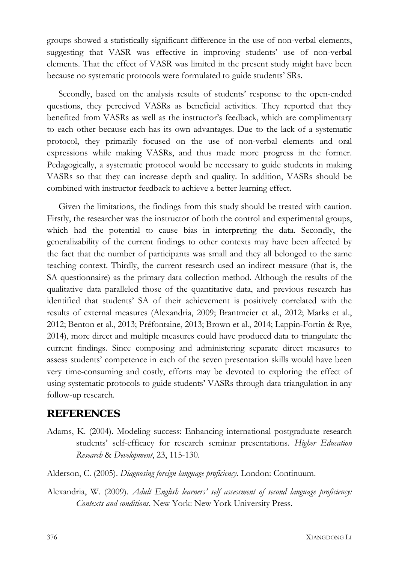groups showed a statistically significant difference in the use of non-verbal elements, suggesting that VASR was effective in improving students' use of non-verbal elements. That the effect of VASR was limited in the present study might have been because no systematic protocols were formulated to guide students' SRs.

Secondly, based on the analysis results of students' response to the open-ended questions, they perceived VASRs as beneficial activities. They reported that they benefited from VASRs as well as the instructor's feedback, which are complimentary to each other because each has its own advantages. Due to the lack of a systematic protocol, they primarily focused on the use of non-verbal elements and oral expressions while making VASRs, and thus made more progress in the former. Pedagogically, a systematic protocol would be necessary to guide students in making VASRs so that they can increase depth and quality. In addition, VASRs should be combined with instructor feedback to achieve a better learning effect.

Given the limitations, the findings from this study should be treated with caution. Firstly, the researcher was the instructor of both the control and experimental groups, which had the potential to cause bias in interpreting the data. Secondly, the generalizability of the current findings to other contexts may have been affected by the fact that the number of participants was small and they all belonged to the same teaching context. Thirdly, the current research used an indirect measure (that is, the SA questionnaire) as the primary data collection method. Although the results of the qualitative data paralleled those of the quantitative data, and previous research has identified that students' SA of their achievement is positively correlated with the results of external measures (Alexandria, 2009; Brantmeier et al., 2012; Marks et al., 2012; Benton et al., 2013; Préfontaine, 2013; Brown et al., 2014; Lappin-Fortin & Rye, 2014), more direct and multiple measures could have produced data to triangulate the current findings. Since composing and administering separate direct measures to assess students' competence in each of the seven presentation skills would have been very time-consuming and costly, efforts may be devoted to exploring the effect of using systematic protocols to guide students' VASRs through data triangulation in any follow-up research.

# **REFERENCES**

- Adams, K. (2004). Modeling success: Enhancing international postgraduate research students' self-efficacy for research seminar presentations. *Higher Education Research* & *Development*, 23, 115-130.
- Alderson, C. (2005). *Diagnosing foreign language proficiency*. London: Continuum.
- Alexandria, W. (2009). *Adult English learners' self assessment of second language proficiency: Contexts and conditions*. New York: New York University Press.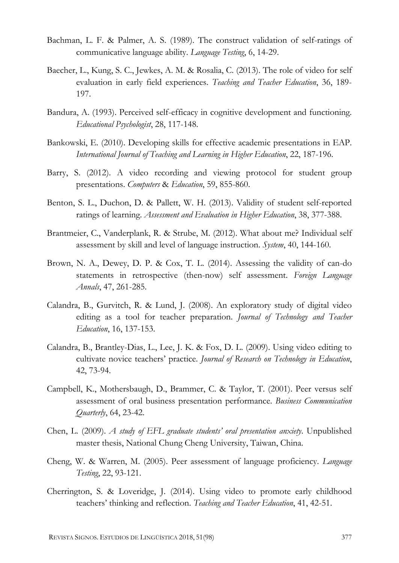- Bachman, L. F. & Palmer, A. S. (1989). The construct validation of self-ratings of communicative language ability. *Language Testing*, 6, 14-29.
- Baecher, L., Kung, S. C., Jewkes, A. M. & Rosalia, C. (2013). The role of video for self evaluation in early field experiences. *Teaching and Teacher Education*, 36, 189- 197.
- Bandura, A. (1993). Perceived self-efficacy in cognitive development and functioning. *Educational Psychologist*, 28, 117-148.
- Bankowski, E. (2010). Developing skills for effective academic presentations in EAP. *International Journal of Teaching and Learning in Higher Education*, 22, 187-196.
- Barry, S. (2012). A video recording and viewing protocol for student group presentations. *Computers* & *Education*, 59, 855-860.
- Benton, S. L., Duchon, D. & Pallett, W. H. (2013). Validity of student self-reported ratings of learning. *Assessment and Evaluation in Higher Education*, 38, 377-388.
- Brantmeier, C., Vanderplank, R. & Strube, M. (2012). What about me? Individual self assessment by skill and level of language instruction. *System*, 40, 144-160.
- Brown, N. A., Dewey, D. P. & Cox, T. L. (2014). Assessing the validity of can-do statements in retrospective (then-now) self assessment. *Foreign Language Annals*, 47, 261-285.
- Calandra, B., Gurvitch, R. & Lund, J. (2008). An exploratory study of digital video editing as a tool for teacher preparation. *Journal of Technology and Teacher Education*, 16, 137-153.
- Calandra, B., Brantley-Dias, L., Lee, J. K. & Fox, D. L. (2009). Using video editing to cultivate novice teachers' practice. *Journal of Research on Technology in Education*, 42, 73-94.
- Campbell, K., Mothersbaugh, D., Brammer, C. & Taylor, T. (2001). Peer versus self assessment of oral business presentation performance. *Business Communication Quarterly*, 64, 23-42.
- Chen, L. (2009). *A study of EFL graduate students' oral presentation anxiety*. Unpublished master thesis, National Chung Cheng University, Taiwan, China.
- Cheng, W. & Warren, M. (2005). Peer assessment of language proficiency. *Language Testing*, 22, 93-121.
- Cherrington, S. & Loveridge, J. (2014). Using video to promote early childhood teachers' thinking and reflection. *Teaching and Teacher Education*, 41, 42-51.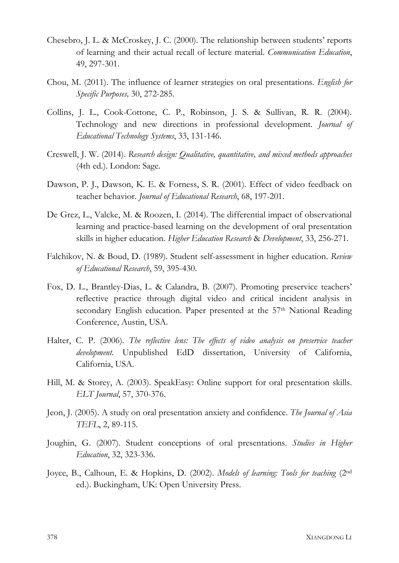- Chesebro, J. L. & McCroskey, J. C. (2000). The relationship between students' reports of learning and their actual recall of lecture material. *Communication Education*, 49, 297-301.
- Chou, M. (2011). The influence of learner strategies on oral presentations. *English for Specific Purposes,* 30, 272-285.
- Collins, J. L., Cook-Cottone, C. P., Robinson, J. S. & Sullivan, R. R. (2004). Technology and new directions in professional development. *Journal of Educational Technology Systems*, 33, 131-146.
- Creswell, J. W. (2014). *Research design: Qualitative, quantitative, and mixed methods approaches* (4th ed.). London: Sage.
- Dawson, P. J., Dawson, K. E. & Forness, S. R. (2001). Effect of video feedback on teacher behavior. *Journal of Educational Research*, 68, 197-201.
- De Grez, L., Valcke, M. & Roozen, I. (2014). The differential impact of observational learning and practice-based learning on the development of oral presentation skills in higher education. *Higher Education Research* & *Development*, 33, 256-271.
- Falchikov, N. & Boud, D. (1989). Student self-assessment in higher education. *Review of Educational Research*, 59, 395-430.
- Fox, D. L., Brantley-Dias, L. & Calandra, B. (2007). Promoting preservice teachers' reflective practice through digital video and critical incident analysis in secondary English education. Paper presented at the 57<sup>th</sup> National Reading Conference, Austin, USA.
- Halter, C. P. (2006). *The reflective lens: The effects of video analysis on preservice teacher development*. Unpublished EdD dissertation, University of California, California, USA.
- Hill, M. & Storey, A. (2003). SpeakEasy: Online support for oral presentation skills. *ELT Journal*, 57, 370-376.
- Jeon, J. (2005). A study on oral presentation anxiety and confidence. *The Journal of Asia TEFL*, 2, 89-115.
- Joughin, G. (2007). Student conceptions of oral presentations. *Studies in Higher Education*, 32, 323-336.
- Joyce, B., Calhoun, E. & Hopkins, D. (2002). *Models of learning: Tools for teaching* (2<sup>nd</sup>) ed.). Buckingham, UK: Open University Press.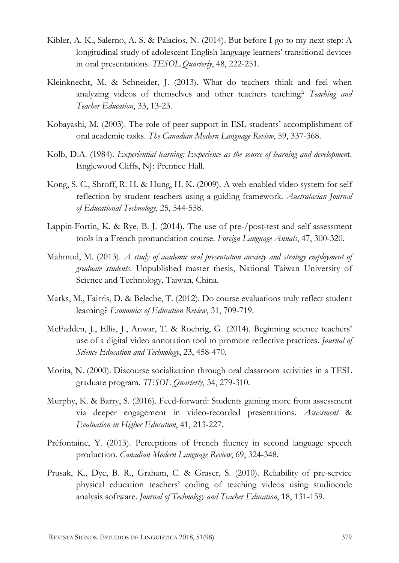- Kibler, A. K., Salerno, A. S. & Palacios, N. (2014). But before I go to my next step: A longitudinal study of adolescent English language learners' transitional devices in oral presentations. *TESOL Quarterly*, 48, 222-251.
- Kleinknecht, M. & Schneider, J. (2013). What do teachers think and feel when analyzing videos of themselves and other teachers teaching? *Teaching and Teacher Education*, 33, 13-23.
- Kobayashi, M. (2003). The role of peer support in ESL students' accomplishment of oral academic tasks. *The Canadian Modern Language Review*, 59, 337-368.
- Kolb, D.A. (1984). *Experiential learning: Experience as the source of learning and developmen*t. Englewood Cliffs, NJ: Prentice Hall.
- Kong, S. C., Shroff, R. H. & Hung, H. K. (2009). A web enabled video system for self reflection by student teachers using a guiding framework. *Australasian Journal of Educational Technology*, 25, 544-558.
- Lappin-Fortin, K. & Rye, B. J. (2014). The use of pre-/post-test and self assessment tools in a French pronunciation course. *Foreign Language Annals*, 47, 300-320.
- Mahmud, M. (2013). *A study of academic oral presentation anxiety and strategy employment of graduate students*. Unpublished master thesis, National Taiwan University of Science and Technology, Taiwan, China.
- Marks, M., Fairris, D. & Beleche, T. (2012). Do course evaluations truly reflect student learning? *Economics of Education Review*, 31, 709-719.
- McFadden, J., Ellis, J., Anwar, T. & Roehrig, G. (2014). Beginning science teachers' use of a digital video annotation tool to promote reflective practices. *Journal of Science Education and Technology*, 23, 458-470.
- Morita, N. (2000). Discourse socialization through oral classroom activities in a TESL graduate program. *TESOL Quarterly*, 34, 279-310.
- Murphy, K. & Barry, S. (2016). Feed-forward: Students gaining more from assessment via deeper engagement in video-recorded presentations. *Assessment* & *Evaluation in Higher Education*, 41, 213-227.
- Préfontaine, Y. (2013). Perceptions of French fluency in second language speech production. *Canadian Modern Language Review*, 69, 324-348.
- Prusak, K., Dye, B. R., Graham, C. & Graser, S. (2010). Reliability of pre-service physical education teachers' coding of teaching videos using studiocode analysis software. *Journal of Technology and Teacher Education*, 18, 131-159.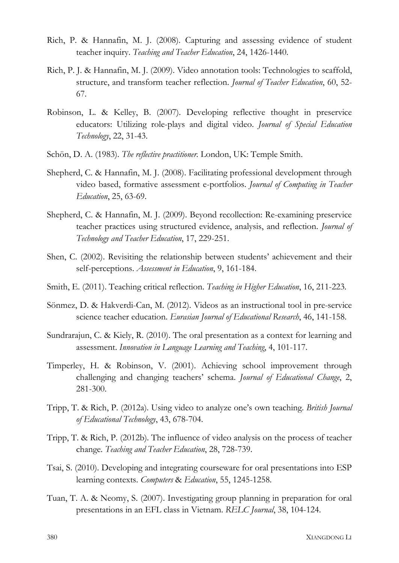- Rich, P. & Hannafin, M. J. (2008). Capturing and assessing evidence of student teacher inquiry. *Teaching and Teacher Education*, 24, 1426-1440.
- Rich, P. J. & Hannafin, M. J. (2009). Video annotation tools: Technologies to scaffold, structure, and transform teacher reflection. *Journal of Teacher Education*, 60, 52- 67.
- Robinson, L. & Kelley, B. (2007). Developing reflective thought in preservice educators: Utilizing role-plays and digital video. *Journal of Special Education Technology*, 22, 31-43.
- Schön, D. A. (1983). *The reflective practitioner.* London, UK: Temple Smith.
- Shepherd, C. & Hannafin, M. J. (2008). Facilitating professional development through video based, formative assessment e-portfolios. *Journal of Computing in Teacher Education*, 25, 63-69.
- Shepherd, C. & Hannafin, M. J. (2009). Beyond recollection: Re-examining preservice teacher practices using structured evidence, analysis, and reflection. *Journal of Technology and Teacher Education*, 17, 229-251.
- Shen, C. (2002). Revisiting the relationship between students' achievement and their self-perceptions. *Assessment in Education*, 9, 161-184.
- Smith, E. (2011). Teaching critical reflection. *Teaching in Higher Education*, 16, 211-223.
- Sönmez, D. & Hakverdi-Can, M. (2012). Videos as an instructional tool in pre-service science teacher education. *Eurasian Journal of Educational Research*, 46, 141-158.
- Sundrarajun, C. & Kiely, R. (2010). The oral presentation as a context for learning and assessment. *Innovation in Language Learning and Teaching*, 4, 101-117.
- Timperley, H. & Robinson, V. (2001). Achieving school improvement through challenging and changing teachers' schema. *Journal of Educational Change*, 2, 281-300.
- Tripp, T. & Rich, P. (2012a). Using video to analyze one's own teaching. *British Journal of Educational Technology*, 43, 678-704.
- Tripp, T. & Rich, P. (2012b). The influence of video analysis on the process of teacher change. *Teaching and Teacher Education*, 28, 728-739.
- Tsai, S. (2010). Developing and integrating courseware for oral presentations into ESP learning contexts. *Computers* & *Education*, 55, 1245-1258.
- Tuan, T. A. & Neomy, S. (2007). Investigating group planning in preparation for oral presentations in an EFL class in Vietnam. *RELC Journal*, 38, 104-124.